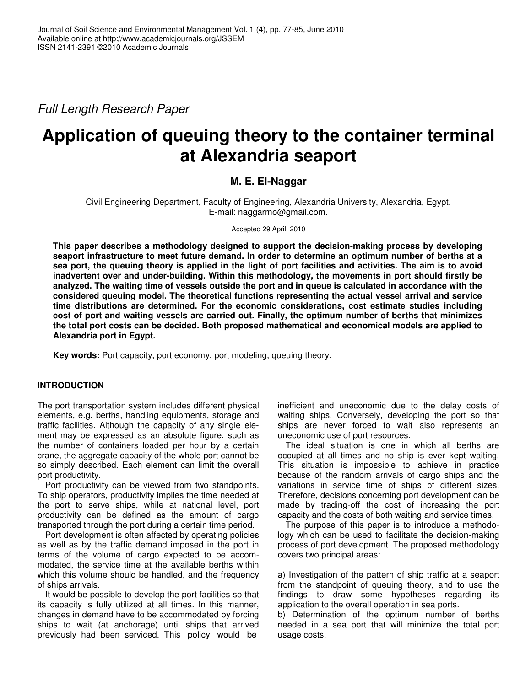*Full Length Research Paper*

# **Application of queuing theory to the container terminal at Alexandria seaport**

## **M. E. El-Naggar**

Civil Engineering Department, Faculty of Engineering, Alexandria University, Alexandria, Egypt. E-mail: naggarmo@gmail.com.

Accepted 29 April, 2010

**This paper describes a methodology designed to support the decision-making process by developing seaport infrastructure to meet future demand. In order to determine an optimum number of berths at a** sea port, the queuing theory is applied in the light of port facilities and activities. The aim is to avoid **inadvertent over and under-building. Within this methodology, the movements in port should firstly be** analyzed. The waiting time of vessels outside the port and in queue is calculated in accordance with the **considered queuing model. The theoretical functions representing the actual vessel arrival and service time distributions are determined. For the economic considerations, cost estimate studies including cost of port and waiting vessels are carried out. Finally, the optimum number of berths that minimizes the total port costs can be decided. Both proposed mathematical and economical models are applied to Alexandria port in Egypt.**

**Key words:** Port capacity, port economy, port modeling, queuing theory.

## **INTRODUCTION**

The port transportation system includes different physical elements, e.g. berths, handling equipments, storage and traffic facilities. Although the capacity of any single element may be expressed as an absolute figure, such as the number of containers loaded per hour by a certain crane, the aggregate capacity of the whole port cannot be so simply described. Each element can limit the overall port productivity.

Port productivity can be viewed from two standpoints. To ship operators, productivity implies the time needed at the port to serve ships, while at national level, port productivity can be defined as the amount of cargo transported through the port during a certain time period.

Port development is often affected by operating policies as well as by the traffic demand imposed in the port in terms of the volume of cargo expected to be accommodated, the service time at the available berths within which this volume should be handled, and the frequency of ships arrivals.

It would be possible to develop the port facilities so that its capacity is fully utilized at all times. In this manner, changes in demand have to be accommodated by forcing ships to wait (at anchorage) until ships that arrived previously had been serviced. This policy would be

inefficient and uneconomic due to the delay costs of waiting ships. Conversely, developing the port so that ships are never forced to wait also represents an uneconomic use of port resources.

The ideal situation is one in which all berths are occupied at all times and no ship is ever kept waiting. This situation is impossible to achieve in practice because of the random arrivals of cargo ships and the variations in service time of ships of different sizes. Therefore, decisions concerning port development can be made by trading-off the cost of increasing the port capacity and the costs of both waiting and service times.

The purpose of this paper is to introduce a methodology which can be used to facilitate the decision-making process of port development. The proposed methodology covers two principal areas:

a) Investigation of the pattern of ship traffic at a seaport from the standpoint of queuing theory, and to use the findings to draw some hypotheses regarding its application to the overall operation in sea ports.

b) Determination of the optimum number of berths needed in a sea port that will minimize the total port usage costs.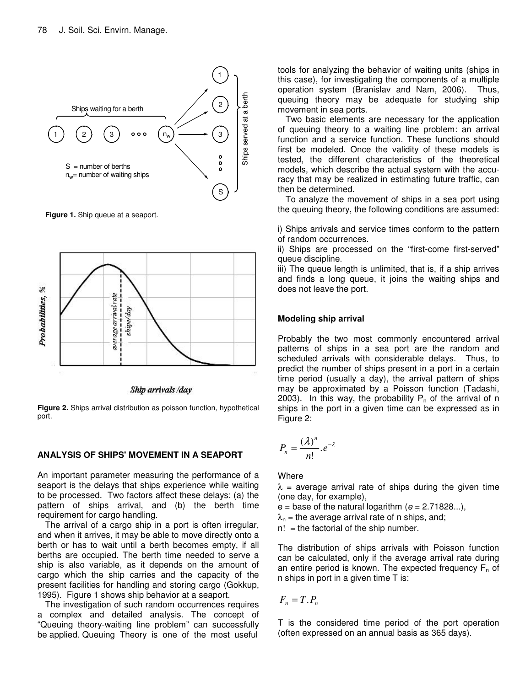

**Figure 1.** Ship queue at a seaport.



Ship arrivals/day

**Figure 2.** Ships arrival distribution as poisson function, hypothetical port.

## **ANALYSIS OF SHIPS' MOVEMENT IN A SEAPORT**

An important parameter measuring the performance of a seaport is the delays that ships experience while waiting to be processed. Two factors affect these delays: (a) the pattern of ships arrival, and (b) the berth time requirement for cargo handling.

The arrival of a cargo ship in a port is often irregular, and when it arrives, it may be able to move directly onto a berth or has to wait until a berth becomes empty, if all berths are occupied. The berth time needed to serve a ship is also variable, as it depends on the amount of cargo which the ship carries and the capacity of the present facilities for handling and storing cargo (Gokkup, 1995). Figure 1 shows ship behavior at a seaport.

The investigation of such random occurrences requires a complex and detailed analysis. The concept of "Queuing theory-waiting line problem" can successfully be applied. Queuing Theory is one of the most useful tools for analyzing the behavior of waiting units (ships in this case), for investigating the components of a multiple operation system (Branislav and Nam, 2006). Thus, queuing theory may be adequate for studying ship movement in sea ports.

Two basic elements are necessary for the application of queuing theory to a waiting line problem: an arrival function and a service function. These functions should first be modeled. Once the validity of these models is tested, the different characteristics of the theoretical models, which describe the actual system with the accuracy that may be realized in estimating future traffic, can then be determined.

To analyze the movement of ships in a sea port using the queuing theory, the following conditions are assumed:

i) Ships arrivals and service times conform to the pattern of random occurrences.

ii) Ships are processed on the "first-come first-served" queue discipline.

iii) The queue length is unlimited, that is, if a ship arrives and finds a long queue, it joins the waiting ships and does not leave the port.

## **Modeling ship arrival**

Probably the two most commonly encountered arrival patterns of ships in a sea port are the random and scheduled arrivals with considerable delays. Thus, to predict the number of ships present in a port in a certain time period (usually a day), the arrival pattern of ships may be approximated by a Poisson function (Tadashi, 2003). In this way, the probability  $P_n$  of the arrival of n ships in the port in a given time can be expressed as in Figure 2:

$$
P_n=\frac{(\lambda)^n}{n!}.e^{-\lambda}
$$

**Where** 

 $\lambda$  = average arrival rate of ships during the given time (one day, for example),

- $e =$  base of the natural logarithm  $(e = 2.71828...)$ ,
- $\lambda_n$  = the average arrival rate of n ships, and;
- $n!$  = the factorial of the ship number.

The distribution of ships arrivals with Poisson function can be calculated, only if the average arrival rate during an entire period is known. The expected frequency  $F_n$  of n ships in port in a given time T is:

$$
F_n=T.P_n
$$

T is the considered time period of the port operation (often expressed on an annual basis as 365 days).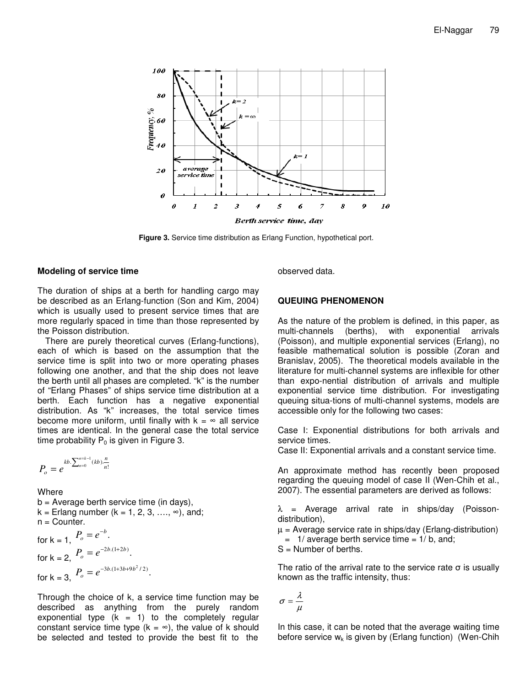

**Figure 3.** Service time distribution as Erlang Function, hypothetical port.

#### **Modeling of service time**

The duration of ships at a berth for handling cargo may be described as an Erlang-function (Son and Kim, 2004) which is usually used to present service times that are more regularly spaced in time than those represented by the Poisson distribution.

There are purely theoretical curves (Erlang-functions), each of which is based on the assumption that the service time is split into two or more operating phases following one another, and that the ship does not leave the berth until all phases are completed. "k" is the number of "Erlang Phases" of ships service time distribution at a berth. Each function has a negative exponential distribution. As "k" increases, the total service times become more uniform, until finally with  $k = \infty$  all service times are identical. In the general case the total service time probability  $P_0$  is given in Figure 3.

$$
P_o = e^{kb \cdot \sum_{n=0}^{n=k-1} (kb) \cdot \frac{n}{n!}}
$$

#### Where

 $b =$  Average berth service time (in days),  $k =$  Erlang number ( $k = 1, 2, 3, \ldots, \infty$ ), and;  $n =$  Counter.

for k = 1, 
$$
P_o = e^{-b}
$$
.  
\nfor k = 2,  $P_o = e^{-2b.(1+2b)}$ .  
\nfor k = 3,  $P_o = e^{-3b.(1+3b+9b^2/2)}$ .

Through the choice of k, a service time function may be described as anything from the purely random exponential type  $(k = 1)$  to the completely regular constant service time type ( $k = \infty$ ), the value of k should be selected and tested to provide the best fit to the

observed data.

## **QUEUING PHENOMENON**

As the nature of the problem is defined, in this paper, as multi-channels (berths), with exponential arrivals (Poisson), and multiple exponential services (Erlang), no feasible mathematical solution is possible (Zoran and Branislav, 2005). The theoretical models available in the literature for multi-channel systems are inflexible for other than expo-nential distribution of arrivals and multiple exponential service time distribution. For investigating queuing situa-tions of multi-channel systems, models are accessible only for the following two cases:

Case I: Exponential distributions for both arrivals and service times.

Case II: Exponential arrivals and a constant service time.

An approximate method has recently been proposed regarding the queuing model of case II (Wen-Chih et al., 2007). The essential parameters are derived as follows:

 $\lambda$  = Average arrival rate in ships/day (Poissondistribution),

 $\mu$  = Average service rate in ships/day (Erlang-distribution)  $=$  1/ average berth service time  $= 1/6$ , and;

S = Number of berths.

The ratio of the arrival rate to the service rate  $\sigma$  is usually known as the traffic intensity, thus:

$$
\sigma = \frac{\lambda}{\mu}
$$

In this case, it can be noted that the average waiting time before service  $w_k$  is given by (Erlang function) (Wen-Chih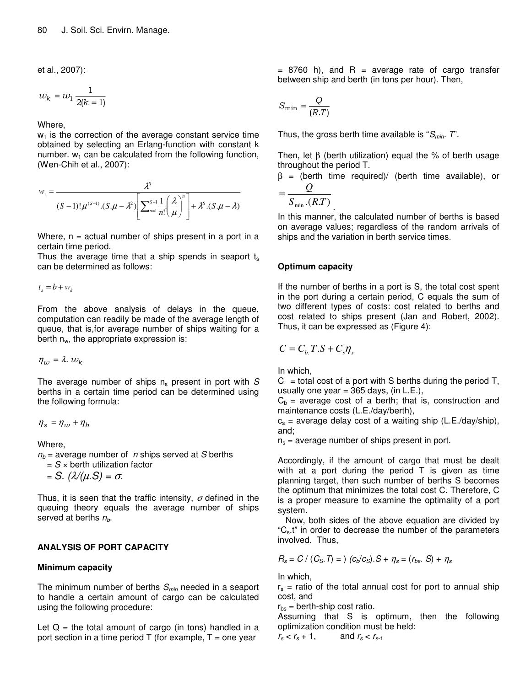et al., 2007):

$$
w_k = w_1 \frac{1}{2(k-1)}
$$

Where,

 $w_1$  is the correction of the average constant service time obtained by selecting an Erlang-function with constant k number.  $w_1$  can be calculated from the following function, (Wen-Chih et al., 2007):

$$
w_1 = \frac{\lambda^S}{(S-1)!\mu^{(S-1)}.(S.\mu - \lambda^2) \left[\sum_{n=1}^{S-1} \frac{1}{n!} \left(\frac{\lambda}{\mu}\right)^n \right] + \lambda^S.(S.\mu - \lambda)}
$$

Where,  $n =$  actual number of ships present in a port in a certain time period.

Thus the average time that a ship spends in seaport  $t_s$ can be determined as follows:

$$
t_s = b + w_k
$$

From the above analysis of delays in the queue, computation can readily be made of the average length of queue, that is,for average number of ships waiting for a berth  $n_w$ , the appropriate expression is:

 $\eta_w = \lambda$ .  $w_k$ 

The average number of ships  $n_s$  present in port with  $S$ berths in a certain time period can be determined using the following formula:

$$
\eta_s=\eta_w+\eta_b
$$

Where,

 $n_b$  = average number of *n* ships served at *S* berths

 $= S \times$  berth utilization factor

 $= S.$   $(\lambda/(\mu.S) = \sigma.$ 

Thus, it is seen that the traffic intensity,  $\sigma$  defined in the queuing theory equals the average number of ships served at berths *nb*.

## **ANALYSIS OF PORT CAPACITY**

## **Minimum capacity**

The minimum number of berths *Smin* needed in a seaport to handle a certain amount of cargo can be calculated using the following procedure:

Let  $Q =$  the total amount of cargo (in tons) handled in a port section in a time period  $T$  (for example,  $T =$  one year

 $=$  8760 h), and R = average rate of cargo transfer between ship and berth (in tons per hour). Then,

$$
S_{\min} = \frac{Q}{(R.T)}
$$

Thus, the gross berth time available is "*Smin. T*".

Then, let  $\beta$  (berth utilization) equal the % of berth usage throughout the period T.

 $β = (berth time required) / (berth time available), or$ *Q*

$$
= \frac{\mathcal{L}}{S_{\min} \cdot (RT)}
$$

.

In this manner, the calculated number of berths is based on average values; regardless of the random arrivals of ships and the variation in berth service times.

## **Optimum capacity**

If the number of berths in a port is S, the total cost spent in the port during a certain period, C equals the sum of two different types of costs: cost related to berths and cost related to ships present (Jan and Robert, 2002). Thus, it can be expressed as (Figure 4):

$$
C=C_b.T.S+C_s\eta_s
$$

In which,

 $C =$  total cost of a port with S berths during the period T, usually one year =  $365$  days, (in L.E.),

 $C_b$  = average cost of a berth; that is, construction and maintenance costs (L.E./day/berth),

 $c_s$  = average delay cost of a waiting ship (L.E./day/ship), and;

 $n<sub>s</sub>$  = average number of ships present in port.

Accordingly, if the amount of cargo that must be dealt with at a port during the period T is given as time planning target, then such number of berths S becomes the optimum that minimizes the total cost C. Therefore, C is a proper measure to examine the optimality of a port system.

Now, both sides of the above equation are divided by "Cs.t" in order to decrease the number of the parameters involved. Thus,

$$
R_s = C / (C_s. T) = (c_b/c_s).S + \eta_s = (r_{bs}. S) + \eta_s
$$

In which,

 $r<sub>s</sub>$  = ratio of the total annual cost for port to annual ship cost, and

 $r_{\text{bs}}$  = berth-ship cost ratio.

Assuming that S is optimum, then the following optimization condition must be held:

$$
r_s < r_s + 1, \qquad \text{and } r_s < r_{s-1}
$$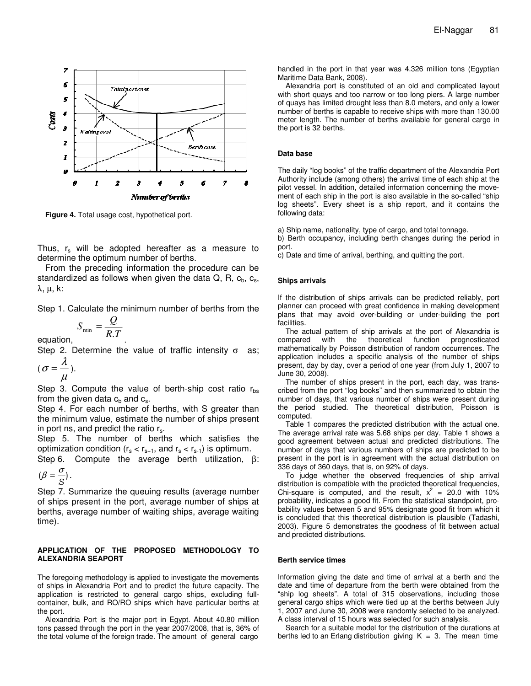

**Figure 4.** Total usage cost, hypothetical port.

Thus,  $r_s$  will be adopted hereafter as a measure to determine the optimum number of berths.

From the preceding information the procedure can be standardized as follows when given the data  $Q$ , R,  $c<sub>b</sub>$ ,  $c<sub>s</sub>$ , λ, µ, k:

Step 1. Calculate the minimum number of berths from the

$$
S_{\min} = \frac{Q}{R.T}
$$

Step 2. Determine the value of traffic intensity  $\sigma$  as;  $\overline{a}$ 

.

$$
(\sigma=\frac{\pi}{\mu}).
$$

equation,

Step 3. Compute the value of berth-ship cost ratio  $r_{\text{hs}}$ from the given data  $c_b$  and  $c_s$ .

Step 4. For each number of berths, with S greater than the minimum value, estimate the number of ships present in port ns, and predict the ratio  $r_s$ .

Step 5. The number of berths which satisfies the optimization condition  $(r_s < r_{s+1})$ , and  $r_s < r_{s-1}$ ) is optimum.

Step 6. Compute the average berth utilization, β:  $(\beta = \frac{\sigma}{\sigma})$ .

$$
(\beta = \frac{1}{S}).
$$

Step 7. Summarize the queuing results (average number of ships present in the port, average number of ships at berths, average number of waiting ships, average waiting time).

#### **APPLICATION OF THE PROPOSED METHODOLOGY TO ALEXANDRIA SEAPORT**

The foregoing methodology is applied to investigate the movements of ships in Alexandria Port and to predict the future capacity. The application is restricted to general cargo ships, excluding fullcontainer, bulk, and RO/RO ships which have particular berths at the port.

Alexandria Port is the major port in Egypt. About 40.80 million tons passed through the port in the year 2007/2008, that is, 36% of the total volume of the foreign trade. The amount of general cargo

handled in the port in that year was 4.326 million tons (Egyptian Maritime Data Bank, 2008).

Alexandria port is constituted of an old and complicated layout with short quays and too narrow or too long piers. A large number of quays has limited drought less than 8.0 meters, and only a lower number of berths is capable to receive ships with more than 130.00 meter length. The number of berths available for general cargo in the port is 32 berths.

#### **Data base**

The daily "log books" of the traffic department of the Alexandria Port Authority include (among others) the arrival time of each ship at the pilot vessel. In addition, detailed information concerning the movement of each ship in the port is also available in the so-called "ship log sheets". Every sheet is a ship report, and it contains the following data:

a) Ship name, nationality, type of cargo, and total tonnage.

b) Berth occupancy, including berth changes during the period in port.

c) Date and time of arrival, berthing, and quitting the port.

#### **Ships arrivals**

If the distribution of ships arrivals can be predicted reliably, port planner can proceed with great confidence in making development plans that may avoid over-building or under-building the port facilities.

The actual pattern of ship arrivals at the port of Alexandria is compared with the theoretical function prognosticated mathematically by Poisson distribution of random occurrences. The application includes a specific analysis of the number of ships present, day by day, over a period of one year (from July 1, 2007 to June 30, 2008).

The number of ships present in the port, each day, was transcribed from the port "log books" and then summarized to obtain the number of days, that various number of ships were present during the period studied. The theoretical distribution, Poisson is computed.

Table 1 compares the predicted distribution with the actual one. The average arrival rate was 5.68 ships per day. Table 1 shows a good agreement between actual and predicted distributions. The number of days that various numbers of ships are predicted to be present in the port is in agreement with the actual distribution on 336 days of 360 days, that is, on 92% of days.

To judge whether the observed frequencies of ship arrival distribution is compatible with the predicted theoretical frequencies, Chi-square is computed, and the result,  $x^2 = 20.0$  with 10% probability, indicates a good fit. From the statistical standpoint, probability values between 5 and 95% designate good fit from which it is concluded that this theoretical distribution is plausible (Tadashi, 2003). Figure 5 demonstrates the goodness of fit between actual and predicted distributions.

#### **Berth service times**

Information giving the date and time of arrival at a berth and the date and time of departure from the berth were obtained from the "ship log sheets". A total of 315 observations, including those general cargo ships which were tied up at the berths between July 1, 2007 and June 30, 2008 were randomly selected to be analyzed. A class interval of 15 hours was selected for such analysis.

Search for a suitable model for the distribution of the durations at berths led to an Erlang distribution giving  $K = 3$ . The mean time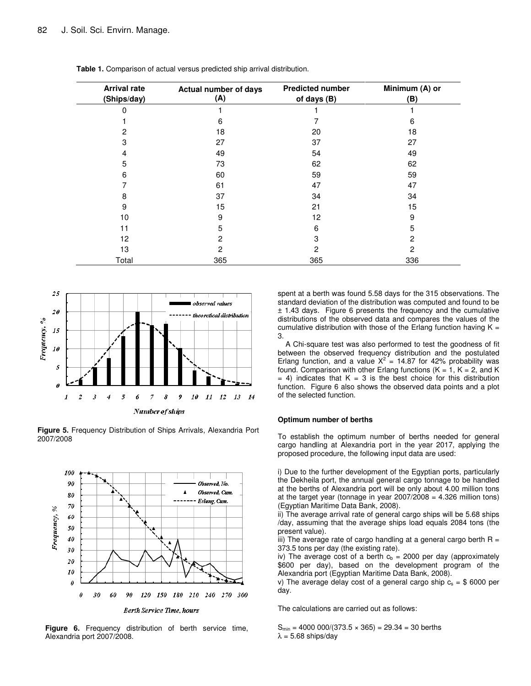| <b>Arrival rate</b><br>(Ships/day) | <b>Actual number of days</b><br>(A) | <b>Predicted number</b><br>of days (B) | Minimum (A) or<br>(B) |  |  |
|------------------------------------|-------------------------------------|----------------------------------------|-----------------------|--|--|
|                                    |                                     |                                        |                       |  |  |
|                                    | 6                                   |                                        | 6                     |  |  |
| 2                                  | 18                                  | 20                                     | 18                    |  |  |
| 3                                  | 27                                  | 37                                     | 27                    |  |  |
| 4                                  | 49                                  | 54                                     | 49                    |  |  |
| 5                                  | 73                                  | 62                                     | 62                    |  |  |
| 6                                  | 60                                  | 59                                     | 59                    |  |  |
|                                    | 61                                  | 47                                     | 47                    |  |  |
| 8                                  | 37                                  | 34                                     | 34                    |  |  |
| 9                                  | 15                                  | 21                                     | 15                    |  |  |
| 10                                 | 9                                   | 12                                     | 9                     |  |  |
| 11                                 | 5                                   | 6                                      | 5                     |  |  |
| 12                                 | 2                                   | 3                                      | 2                     |  |  |
| 13                                 | 2                                   | 2                                      | 2                     |  |  |
| Total                              | 365                                 | 365                                    | 336                   |  |  |

**Table 1.** Comparison of actual versus predicted ship arrival distribution.



**Figure 5.** Frequency Distribution of Ships Arrivals, Alexandria Port 2007/2008



**Figure 6.** Frequency distribution of berth service time, Alexandria port 2007/2008.

spent at a berth was found 5.58 days for the 315 observations. The standard deviation of the distribution was computed and found to be ± 1.43 days. Figure 6 presents the frequency and the cumulative distributions of the observed data and compares the values of the cumulative distribution with those of the Erlang function having  $K =$ 3.

A Chi-square test was also performed to test the goodness of fit between the observed frequency distribution and the postulated Erlang function, and a value  $X^2 = 14.87$  for 42% probability was found. Comparison with other Erlang functions ( $K = 1$ ,  $K = 2$ , and K  $= 4$ ) indicates that  $K = 3$  is the best choice for this distribution function. Figure 6 also shows the observed data points and a plot of the selected function.

#### **Optimum number of berths**

To establish the optimum number of berths needed for general cargo handling at Alexandria port in the year 2017, applying the proposed procedure, the following input data are used:

i) Due to the further development of the Egyptian ports, particularly the Dekheila port, the annual general cargo tonnage to be handled at the berths of Alexandria port will be only about 4.00 million tons at the target year (tonnage in year  $2007/2008 = 4.326$  million tons) (Egyptian Maritime Data Bank, 2008).

ii) The average arrival rate of general cargo ships will be 5.68 ships /day, assuming that the average ships load equals 2084 tons (the present value).

iii) The average rate of cargo handling at a general cargo berth  $R =$ 373.5 tons per day (the existing rate).

iv) The average cost of a berth  $c_b = 2000$  per day (approximately \$600 per day), based on the development program of the Alexandria port (Egyptian Maritime Data Bank, 2008).

v) The average delay cost of a general cargo ship  $c_s = $6000$  per day.

The calculations are carried out as follows:

 $S_{min} = 4000 000/(373.5 \times 365) = 29.34 = 30$  berths  $\lambda = 5.68$  ships/day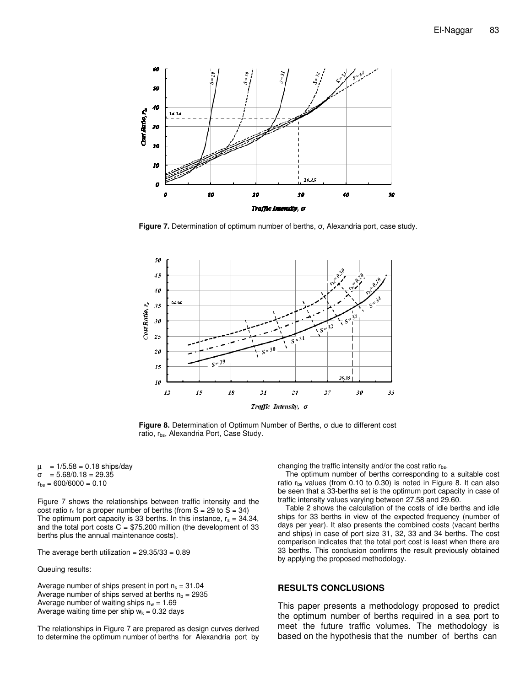

**Figure** 7. Determination of optimum number of berths,  $\sigma$ , Alexandria port, case study.



**Figure 8.** Determination of Optimum Number of Berths,  $\sigma$  due to different cost ratio, rbs, Alexandria Port, Case Study.

 $\mu$  = 1/5.58 = 0.18 ships/day  $\sigma = 5.68/0.18 = 29.35$  $r_{bs} = 600/6000 = 0.10$ 

Figure 7 shows the relationships between traffic intensity and the cost ratio  $r_s$  for a proper number of berths (from  $S = 29$  to  $\overline{S} = 34$ ) The optimum port capacity is 33 berths. In this instance,  $r_s = 34.34$ , and the total port costs  $C = $75.200$  million (the development of 33 berths plus the annual maintenance costs).

The average berth utilization =  $29.35/33 = 0.89$ 

Queuing results:

Average number of ships present in port  $n_s = 31.04$ Average number of ships served at berths  $n_b = 2935$ Average number of waiting ships  $n_w = 1.69$ Average waiting time per ship  $w_k = 0.32$  days

The relationships in Figure 7 are prepared as design curves derived to determine the optimum number of berths for Alexandria port by changing the traffic intensity and/or the cost ratio  $r_{\text{bs}}$ .

The optimum number of berths corresponding to a suitable cost ratio  $r_{bs}$  values (from 0.10 to 0.30) is noted in Figure 8. It can also be seen that a 33-berths set is the optimum port capacity in case of traffic intensity values varying between 27.58 and 29.60.

Table 2 shows the calculation of the costs of idle berths and idle ships for 33 berths in view of the expected frequency (number of days per year). It also presents the combined costs (vacant berths and ships) in case of port size 31, 32, 33 and 34 berths. The cost comparison indicates that the total port cost is least when there are 33 berths. This conclusion confirms the result previously obtained by applying the proposed methodology.

#### **RESULTS CONCLUSIONS**

This paper presents a methodology proposed to predict the optimum number of berths required in a sea port to meet the future traffic volumes. The methodology is based on the hypothesis that the number of berths can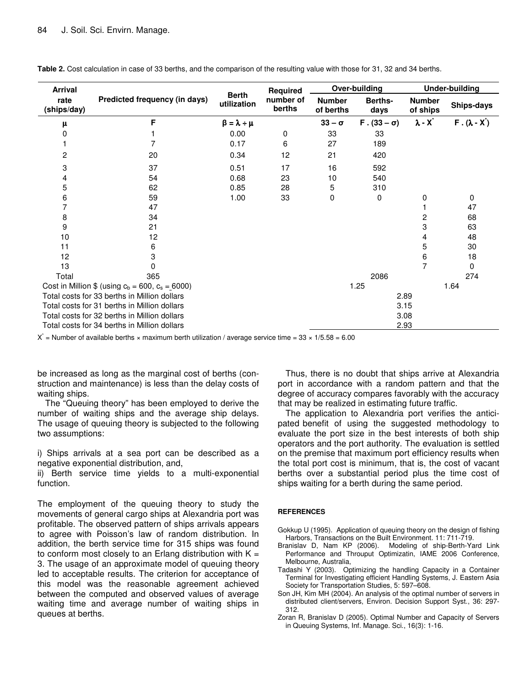| <b>Arrival</b>                                         | Predicted frequency (in days) |                             | Required<br>number of<br>berths | Over-building              |                    | <b>Under-building</b>     |                   |
|--------------------------------------------------------|-------------------------------|-----------------------------|---------------------------------|----------------------------|--------------------|---------------------------|-------------------|
| rate<br>(ships/day)                                    |                               | <b>Berth</b><br>utilization |                                 | <b>Number</b><br>of berths | Berths-<br>days    | <b>Number</b><br>of ships | Ships-days        |
| μ                                                      | F                             | $\beta = \lambda + \mu$     |                                 | $33 - \sigma$              | $F. (33 - \sigma)$ | $\lambda$ - $X^*$         | $F.(\lambda - X)$ |
| 0                                                      |                               | 0.00                        | $\mathbf 0$                     | 33                         | 33                 |                           |                   |
|                                                        |                               | 0.17                        | 6                               | 27                         | 189                |                           |                   |
| 2                                                      | 20                            | 0.34                        | 12                              | 21                         | 420                |                           |                   |
| 3                                                      | 37                            | 0.51                        | 17                              | 16                         | 592                |                           |                   |
| 4                                                      | 54                            | 0.68                        | 23                              | 10                         | 540                |                           |                   |
| 5                                                      | 62                            | 0.85                        | 28                              | 5                          | 310                |                           |                   |
| 6                                                      | 59                            | 1.00                        | 33                              | 0                          | 0                  | 0                         | 0                 |
| 7                                                      | 47                            |                             |                                 |                            |                    |                           | 47                |
| 8                                                      | 34                            |                             |                                 |                            |                    | $\overline{c}$            | 68                |
| 9                                                      | 21                            |                             |                                 |                            |                    | 3                         | 63                |
| 10                                                     | 12                            |                             |                                 |                            |                    | 4                         | 48                |
| 11                                                     | 6                             |                             |                                 |                            |                    | 5                         | 30                |
| 12                                                     | 3                             |                             |                                 |                            |                    | 6                         | 18                |
| 13                                                     | 0                             |                             |                                 |                            |                    | 7                         | 0                 |
| Total                                                  | 365                           |                             |                                 |                            | 2086               |                           | 274               |
| Cost in Million \$ (using $c_b = 600$ , $c_s = 6000$ ) |                               |                             |                                 |                            | 1.25               |                           | 1.64              |
| Total costs for 33 berths in Million dollars           |                               |                             |                                 |                            |                    | 2.89                      |                   |
| Total costs for 31 berths in Million dollars           |                               |                             | 3.15                            |                            |                    |                           |                   |
| Total costs for 32 berths in Million dollars           |                               |                             | 3.08                            |                            |                    |                           |                   |
| Total costs for 34 berths in Million dollars           |                               |                             |                                 |                            | 2.93               |                           |                   |

**Table 2.** Cost calculation in case of 33 berths, and the comparison of the resulting value with those for 31, 32 and 34 berths.

X<sup> $\dot{X}$ </sup> = Number of available berths × maximum berth utilization / average service time = 33 × 1/5.58 = 6.00

be increased as long as the marginal cost of berths (construction and maintenance) is less than the delay costs of waiting ships.

The "Queuing theory" has been employed to derive the number of waiting ships and the average ship delays. The usage of queuing theory is subjected to the following two assumptions:

i) Ships arrivals at a sea port can be described as a negative exponential distribution, and,

ii) Berth service time yields to a multi-exponential function.

The employment of the queuing theory to study the movements of general cargo ships at Alexandria port was profitable. The observed pattern of ships arrivals appears to agree with Poisson's law of random distribution. In addition, the berth service time for 315 ships was found to conform most closely to an Erlang distribution with  $K =$ 3. The usage of an approximate model of queuing theory led to acceptable results. The criterion for acceptance of this model was the reasonable agreement achieved between the computed and observed values of average waiting time and average number of waiting ships in queues at berths.

Thus, there is no doubt that ships arrive at Alexandria port in accordance with a random pattern and that the degree of accuracy compares favorably with the accuracy that may be realized in estimating future traffic.

The application to Alexandria port verifies the anticipated benefit of using the suggested methodology to evaluate the port size in the best interests of both ship operators and the port authority. The evaluation is settled on the premise that maximum port efficiency results when the total port cost is minimum, that is, the cost of vacant berths over a substantial period plus the time cost of ships waiting for a berth during the same period.

#### **REFERENCES**

Gokkup U (1995). Application of queuing theory on the design of fishing Harbors, Transactions on the Built Environment. 11: 711-719.

- Branislav D, Nam KP (2006). Modeling of ship-Berth-Yard Link Performance and Throuput Optimizatin, IAME 2006 Conference, Melbourne, Australia,
- Tadashi Y (2003). Optimizing the handling Capacity in a Container Terminal for Investigating efficient Handling Systems, J. Eastern Asia Society for Transportation Studies, 5: 597–608.
- Son JH, Kim MH (2004). An analysis of the optimal number of servers in distributed client/servers, Environ. Decision Support Syst., 36: 297- 312.
- Zoran R, Branislav D (2005). Optimal Number and Capacity of Servers in Queuing Systems, Inf. Manage. Sci., 16(3): 1-16.